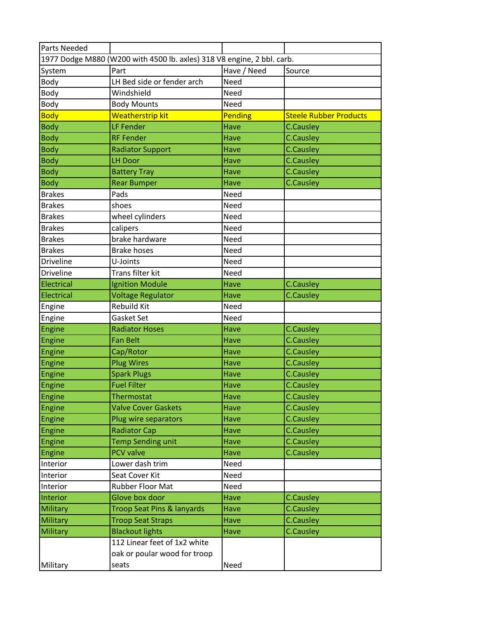| <b>Parts Needed</b> |                                                                        |             |                               |
|---------------------|------------------------------------------------------------------------|-------------|-------------------------------|
|                     | 1977 Dodge M880 (W200 with 4500 lb. axles) 318 V8 engine, 2 bbl. carb. |             |                               |
| System              | Part                                                                   | Have / Need | Source                        |
| Body                | LH Bed side or fender arch                                             | <b>Need</b> |                               |
| Body                | Windshield                                                             | Need        |                               |
| Body                | <b>Body Mounts</b>                                                     | Need        |                               |
| <b>Body</b>         | Weatherstrip kit                                                       | Pending     | <b>Steele Rubber Products</b> |
| <b>Body</b>         | LF Fender                                                              | <b>Have</b> | <b>C.Causley</b>              |
| <b>Body</b>         | <b>RF Fender</b>                                                       | Have        | <b>C.Causley</b>              |
| <b>Body</b>         | <b>Radiator Support</b>                                                | Have        | <b>C.Causley</b>              |
| <b>Body</b>         | <b>LH Door</b>                                                         | Have        | <b>C.Causley</b>              |
| <b>Body</b>         | <b>Battery Tray</b>                                                    | Have        | <b>C.Causley</b>              |
| <b>Body</b>         | <b>Rear Bumper</b>                                                     | Have        | <b>C.Causley</b>              |
| <b>Brakes</b>       | Pads                                                                   | Need        |                               |
| <b>Brakes</b>       | shoes                                                                  | Need        |                               |
| <b>Brakes</b>       | wheel cylinders                                                        | Need        |                               |
| <b>Brakes</b>       | calipers                                                               | Need        |                               |
| <b>Brakes</b>       | brake hardware                                                         | Need        |                               |
| <b>Brakes</b>       | <b>Brake hoses</b>                                                     | Need        |                               |
| <b>Driveline</b>    | U-Joints                                                               | Need        |                               |
| <b>Driveline</b>    | Trans filter kit                                                       | Need        |                               |
| Electrical          | <b>Ignition Module</b>                                                 | Have        | <b>C.Causley</b>              |
| Electrical          | <b>Voltage Regulator</b>                                               | Have        | <b>C.Causley</b>              |
| Engine              | <b>Rebuild Kit</b>                                                     | Need        |                               |
| Engine              | Gasket Set                                                             | Need        |                               |
| Engine              | <b>Radiator Hoses</b>                                                  | Have        | <b>C.Causley</b>              |
| Engine              | <b>Fan Belt</b>                                                        | <b>Have</b> | <b>C.Causley</b>              |
| Engine              | Cap/Rotor                                                              | Have        | <b>C.Causley</b>              |
| <b>Engine</b>       | <b>Plug Wires</b>                                                      | <b>Have</b> | <b>C.Causley</b>              |
| Engine              | <b>Spark Plugs</b>                                                     | Have        | <b>C.Causley</b>              |
| Engine              | <b>Fuel Filter</b>                                                     | Have        | <b>C.Causley</b>              |
| Engine              | Thermostat                                                             | <b>Have</b> | <b>C.Causley</b>              |
| Engine              | <b>Valve Cover Gaskets</b>                                             | Have        | <b>C.Causley</b>              |
| Engine              | Plug wire separators                                                   | Have        | <b>C.Causley</b>              |
| Engine              | <b>Radiator Cap</b>                                                    | Have        | <b>C.Causley</b>              |
| Engine              | <b>Temp Sending unit</b>                                               | Have        | <b>C.Causley</b>              |
| Engine              | <b>PCV valve</b>                                                       | Have        | <b>C.Causley</b>              |
| Interior            | Lower dash trim                                                        | Need        |                               |
| Interior            | Seat Cover Kit                                                         | Need        |                               |
| Interior            | Rubber Floor Mat                                                       | Need        |                               |
| Interior            | Glove box door                                                         | Have        | <b>C.Causley</b>              |
| Military            | Troop Seat Pins & lanyards                                             | Have        | <b>C.Causley</b>              |
| Military            | <b>Troop Seat Straps</b>                                               | Have        | <b>C.Causley</b>              |
| Military            | <b>Blackout lights</b>                                                 | Have        | <b>C.Causley</b>              |
|                     | 112 Linear feet of 1x2 white                                           |             |                               |
|                     | oak or poular wood for troop                                           |             |                               |
| Military            | seats                                                                  | Need        |                               |